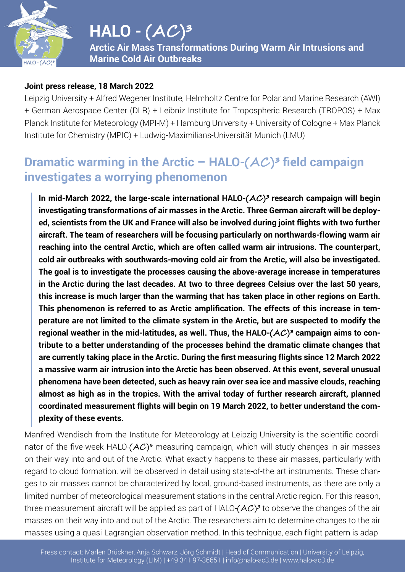

**Arctic Air Mass Transformations During Warm Air Intrusions and Marine Cold Air Outbreaks**

#### **Joint press release, 18 March 2022**

Leipzig University + Alfred Wegener Institute, Helmholtz Centre for Polar and Marine Research (AWI) + German Aerospace Center (DLR) + Leibniz Institute for Tropospheric Research (TROPOS) + Max Planck Institute for Meteorology (MPI-M) + Hamburg University + University of Cologne + Max Planck Institute for Chemistry (MPIC) + Ludwig-Maximilians-Universität Munich (LMU)

#### **Dramatic warming in the Arctic – HALO-** $(AC)^3$  **field campaign investigates a worrying phenomenon**

**In mid-March 2022, the large-scale international HALO-(AC )³ research campaign will begin investigating transformations of air masses in the Arctic. Three German aircraft will be deployed, scientists from the UK and France will also be involved during joint flights with two further aircraft. The team of researchers will be focusing particularly on northwards-flowing warm air reaching into the central Arctic, which are often called warm air intrusions. The counterpart, cold air outbreaks with southwards-moving cold air from the Arctic, will also be investigated. The goal is to investigate the processes causing the above-average increase in temperatures in the Arctic during the last decades. At two to three degrees Celsius over the last 50 years, this increase is much larger than the warming that has taken place in other regions on Earth. This phenomenon is referred to as Arctic amplification. The effects of this increase in temperature are not limited to the climate system in the Arctic, but are suspected to modify the**  regional weather in the mid-latitudes, as well. Thus, the HALO- $(AC)^3$  campaign aims to con**tribute to a better understanding of the processes behind the dramatic climate changes that are currently taking place in the Arctic. During the first measuring flights since 12 March 2022 a massive warm air intrusion into the Arctic has been observed. At this event, several unusual phenomena have been detected, such as heavy rain over sea ice and massive clouds, reaching almost as high as in the tropics. With the arrival today of further research aircraft, planned coordinated measurement flights will begin on 19 March 2022, to better understand the complexity of these events.**

Manfred Wendisch from the Institute for Meteorology at Leipzig University is the scientific coordinator of the five-week HALO- $(AC)^3$  measuring campaign, which will study changes in air masses on their way into and out of the Arctic. What exactly happens to these air masses, particularly with regard to cloud formation, will be observed in detail using state-of-the art instruments. These changes to air masses cannot be characterized by local, ground-based instruments, as there are only a limited number of meteorological measurement stations in the central Arctic region. For this reason, three measurement aircraft will be applied as part of HALO- $(AC)^3$  to observe the changes of the air masses on their way into and out of the Arctic. The researchers aim to determine changes to the air masses using a quasi-Lagrangian observation method. In this technique, each flight pattern is adap-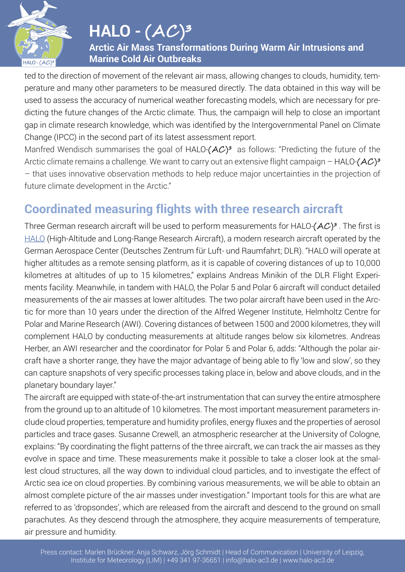

**Arctic Air Mass Transformations During Warm Air Intrusions and Marine Cold Air Outbreaks**

ted to the direction of movement of the relevant air mass, allowing changes to clouds, humidity, temperature and many other parameters to be measured directly. The data obtained in this way will be used to assess the accuracy of numerical weather forecasting models, which are necessary for predicting the future changes of the Arctic climate. Thus, the campaign will help to close an important gap in climate research knowledge, which was identified by the Intergovernmental Panel on Climate Change (IPCC) in the second part of its latest assessment report.

Manfred Wendisch summarises the goal of HALO- $(AC)^3$  as follows: "Predicting the future of the Arctic climate remains a challenge. We want to carry out an extensive flight campaign – HALO- $(AC)^3$ – that uses innovative observation methods to help reduce major uncertainties in the projection of future climate development in the Arctic."

# **Coordinated measuring flights with three research aircraft**

Three German research aircraft will be used to perform measurements for HALO- $(AC)^3$ . The first is HALO (High-Altitude and Long-Range Research Aircraft), a modern research aircraft operated by the German Aerospace Center (Deutsches Zentrum für Luft- und Raumfahrt; DLR). "HALO will operate at higher altitudes as a remote sensing platform, as it is capable of covering distances of up to 10,000 kilometres at altitudes of up to 15 kilometres," explains Andreas Minikin of the DLR Flight Experiments facility. Meanwhile, in tandem with HALO, the Polar 5 and Polar 6 aircraft will conduct detailed measurements of the air masses at lower altitudes. The two polar aircraft have been used in the Arctic for more than 10 years under the direction of the Alfred Wegener Institute, Helmholtz Centre for Polar and Marine Research (AWI). Covering distances of between 1500 and 2000 kilometres, they will complement HALO by conducting measurements at altitude ranges below six kilometres. Andreas Herber, an AWI researcher and the coordinator for Polar 5 and Polar 6, adds: "Although the polar aircraft have a shorter range, they have the major advantage of being able to fly 'low and slow', so they can capture snapshots of very specific processes taking place in, below and above clouds, and in the planetary boundary layer."

The aircraft are equipped with state-of-the-art instrumentation that can survey the entire atmosphere from the ground up to an altitude of 10 kilometres. The most important measurement parameters include cloud properties, temperature and humidity profiles, energy fluxes and the properties of aerosol particles and trace gases. Susanne Crewell, an atmospheric researcher at the University of Cologne, explains: "By coordinating the flight patterns of the three aircraft, we can track the air masses as they evolve in space and time. These measurements make it possible to take a closer look at the smallest cloud structures, all the way down to individual cloud particles, and to investigate the effect of Arctic sea ice on cloud properties. By combining various measurements, we will be able to obtain an almost complete picture of the air masses under investigation." Important tools for this are what are referred to as 'dropsondes', which are released from the aircraft and descend to the ground on small parachutes. As they descend through the atmosphere, they acquire measurements of temperature, air pressure and humidity.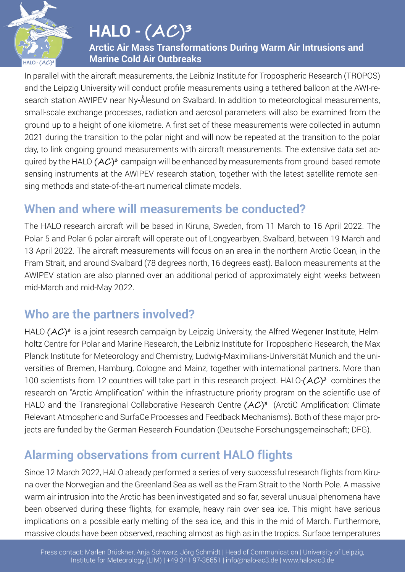

**Arctic Air Mass Transformations During Warm Air Intrusions and Marine Cold Air Outbreaks**

In parallel with the aircraft measurements, the Leibniz Institute for Tropospheric Research (TROPOS) and the Leipzig University will conduct profile measurements using a tethered balloon at the AWI-research station AWIPEV near Ny-Ålesund on Svalbard. In addition to meteorological measurements, small-scale exchange processes, radiation and aerosol parameters will also be examined from the ground up to a height of one kilometre. A first set of these measurements were collected in autumn 2021 during the transition to the polar night and will now be repeated at the transition to the polar day, to link ongoing ground measurements with aircraft measurements. The extensive data set acquired by the HALO- $(AC)^3$  campaign will be enhanced by measurements from ground-based remote sensing instruments at the AWIPEV research station, together with the latest satellite remote sensing methods and state-of-the-art numerical climate models.

### **When and where will measurements be conducted?**

The HALO research aircraft will be based in Kiruna, Sweden, from 11 March to 15 April 2022. The Polar 5 and Polar 6 polar aircraft will operate out of Longyearbyen, Svalbard, between 19 March and 13 April 2022. The aircraft measurements will focus on an area in the northern Arctic Ocean, in the Fram Strait, and around Svalbard (78 degrees north, 16 degrees east). Balloon measurements at the AWIPEV station are also planned over an additional period of approximately eight weeks between mid-March and mid-May 2022.

### **Who are the partners involved?**

HALO- $(AC)^3$  is a joint research campaign by Leipzig University, the Alfred Wegener Institute, Helmholtz Centre for Polar and Marine Research, the Leibniz Institute for Tropospheric Research, the Max Planck Institute for Meteorology and Chemistry, Ludwig-Maximilians-Universität Munich and the universities of Bremen, Hamburg, Cologne and Mainz, together with international partners. More than 100 scientists from 12 countries will take part in this research project. HALO- $(AC)^3$  combines the research on "Arctic Amplification" within the infrastructure priority program on the scientific use of HALO and the Transregional Collaborative Research Centre  $(AC)^3$  (ArctiC Amplification: Climate Relevant Atmospheric and SurfaCe Processes and Feedback Mechanisms). Both of these major projects are funded by the German Research Foundation (Deutsche Forschungsgemeinschaft; DFG).

## **Alarming observations from current HALO flights**

Since 12 March 2022, HALO already performed a series of very successful research flights from Kiruna over the Norwegian and the Greenland Sea as well as the Fram Strait to the North Pole. A massive warm air intrusion into the Arctic has been investigated and so far, several unusual phenomena have been observed during these flights, for example, heavy rain over sea ice. This might have serious implications on a possible early melting of the sea ice, and this in the mid of March. Furthermore, massive clouds have been observed, reaching almost as high as in the tropics. Surface temperatures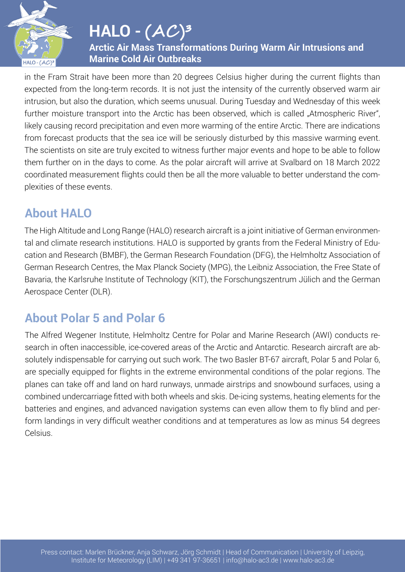

**Arctic Air Mass Transformations During Warm Air Intrusions and Marine Cold Air Outbreaks**

in the Fram Strait have been more than 20 degrees Celsius higher during the current flights than expected from the long-term records. It is not just the intensity of the currently observed warm air intrusion, but also the duration, which seems unusual. During Tuesday and Wednesday of this week further moisture transport into the Arctic has been observed, which is called "Atmospheric River", likely causing record precipitation and even more warming of the entire Arctic. There are indications from forecast products that the sea ice will be seriously disturbed by this massive warming event. The scientists on site are truly excited to witness further major events and hope to be able to follow them further on in the days to come. As the polar aircraft will arrive at Svalbard on 18 March 2022 coordinated measurement flights could then be all the more valuable to better understand the complexities of these events.

### **About HALO**

The High Altitude and Long Range (HALO) research aircraft is a joint initiative of German environmental and climate research institutions. HALO is supported by grants from the Federal Ministry of Education and Research (BMBF), the German Research Foundation (DFG), the Helmholtz Association of German Research Centres, the Max Planck Society (MPG), the Leibniz Association, the Free State of Bavaria, the Karlsruhe Institute of Technology (KIT), the Forschungszentrum Jülich and the German Aerospace Center (DLR).

## **About Polar 5 and Polar 6**

The Alfred Wegener Institute, Helmholtz Centre for Polar and Marine Research (AWI) conducts research in often inaccessible, ice-covered areas of the Arctic and Antarctic. Research aircraft are absolutely indispensable for carrying out such work. The two Basler BT-67 aircraft, Polar 5 and Polar 6, are specially equipped for flights in the extreme environmental conditions of the polar regions. The planes can take off and land on hard runways, unmade airstrips and snowbound surfaces, using a combined undercarriage fitted with both wheels and skis. De-icing systems, heating elements for the batteries and engines, and advanced navigation systems can even allow them to fly blind and perform landings in very difficult weather conditions and at temperatures as low as minus 54 degrees Celsius.